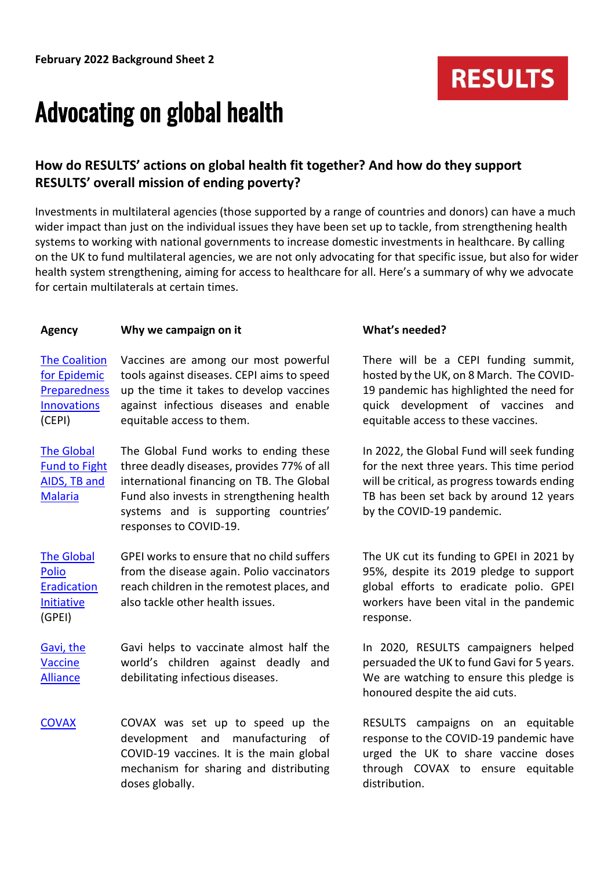## Advocating on global health

## **How do RESULTS' actions on global health fit together? And how do they support RESULTS' overall mission of ending poverty?**

Investments in multilateral agencies (those supported by a range of countries and donors) can have a much wider impact than just on the individual issues they have been set up to tackle, from strengthening health systems to working with national governments to increase domestic investments in healthcare. By calling on the UK to fund multilateral agencies, we are not only advocating for that specific issue, but also for wider health system strengthening, aiming for access to healthcare for all. Here's a summary of why we advocate for certain multilaterals at certain times.

### Agency **Why we campaign on it What's needed?**

[The Coalition](https://cepi.net/)  [for Epidemic](https://cepi.net/)  [Preparedness](https://cepi.net/)  [Innovations](https://cepi.net/) (CEPI) Vaccines are among our most powerful tools against diseases. CEPI aims to speed up the time it takes to develop vaccines against infectious diseases and enable equitable access to them.

[The Global](https://www.theglobalfund.org/en/)  [Fund to Fight](https://www.theglobalfund.org/en/)  [AIDS, TB and](https://www.theglobalfund.org/en/)  [Malaria](https://www.theglobalfund.org/en/) The Global Fund works to ending these three deadly diseases, provides 77% of all international financing on TB. The Global Fund also invests in strengthening health systems and is supporting countries' responses to COVID-19.

[The Global](https://www.endpolio.org/)  [Polio](https://www.endpolio.org/)  [Eradication](https://www.endpolio.org/)  [Initiative](https://www.endpolio.org/) (GPEI) GPEI works to ensure that no child suffers from the disease again. Polio vaccinators reach children in the remotest places, and also tackle other health issues.

[Gavi, the](https://www.gavi.org/covax-facility)  [Vaccine](https://www.gavi.org/covax-facility)  [Alliance](https://www.gavi.org/covax-facility) Gavi helps to vaccinate almost half the world's children against deadly and debilitating infectious diseases.

[COVAX](https://www.who.int/initiatives/act-accelerator/covax) COVAX was set up to speed up the development and manufacturing of COVID-19 vaccines. It is the main global mechanism for sharing and distributing doses globally.

There will be a CEPI funding summit, hosted by the UK, on 8 March. The COVID-19 pandemic has highlighted the need for quick development of vaccines and equitable access to these vaccines.

**RESULTS** 

In 2022, the Global Fund will seek funding for the next three years. This time period will be critical, as progress towards [ending](https://www.theguardian.com/global-development/2021/mar/19/fight-against-tuberculosis-set-back-12-years-by-covid-pandemic-report-finds)  [TB has been set back by around](https://www.theguardian.com/global-development/2021/mar/19/fight-against-tuberculosis-set-back-12-years-by-covid-pandemic-report-finds) 12 years by the COVID-19 pandemic.

The UK cut its funding to GPEI in 2021 by 95%, despite its 2019 pledge to support global efforts to eradicate polio. GPEI workers have been vital in the pandemic response.

In 2020, RESULTS campaigners helped persuaded the UK to fund Gavi for 5 years. We are watching to ensure this pledge is honoured despite the aid cuts.

RESULTS campaigns on an equitable response to the COVID-19 pandemic have urged the UK to share vaccine doses through COVAX to ensure equitable distribution.